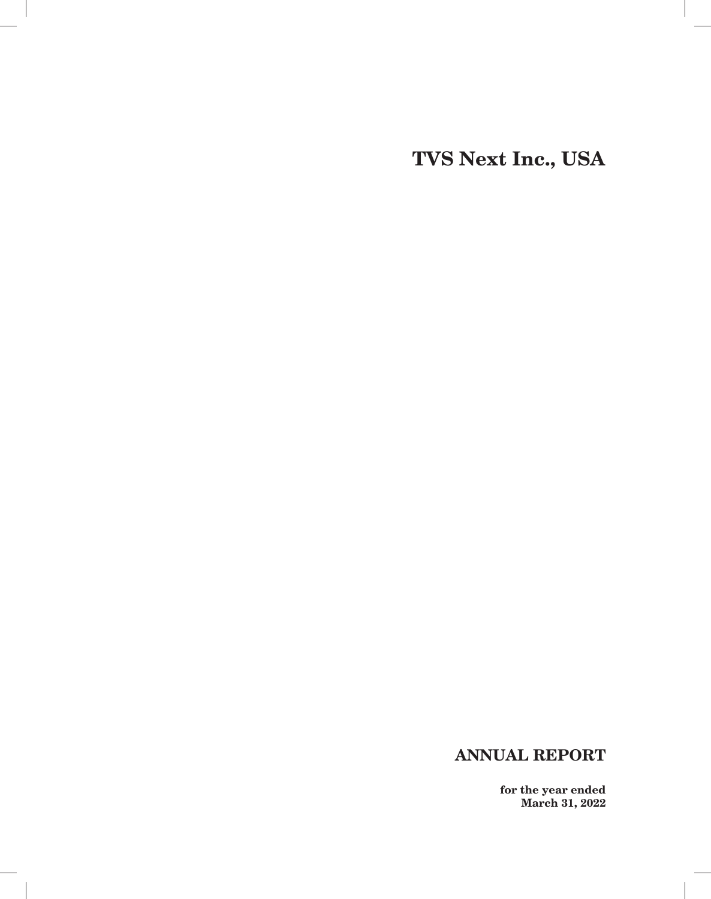**TVS Next Inc., USA**

# **ANNUAL REPORT**

 $\overline{\phantom{a}}$ 

**for the year ended March 31, 2022**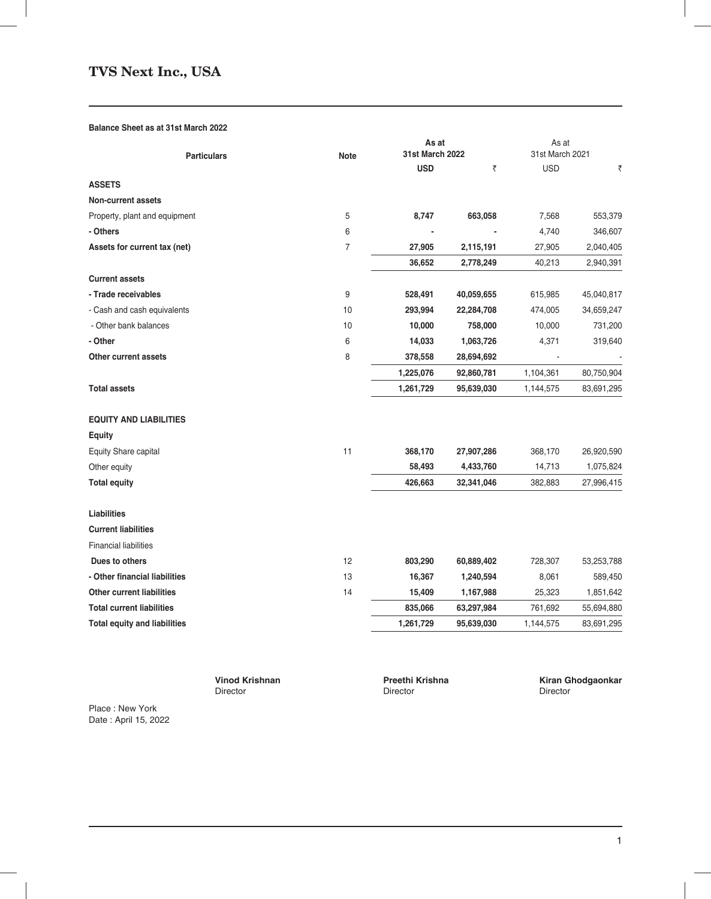# **TVS Next Inc., USA**

## **Balance Sheet as at 31st March 2022**

|                                     |                | As at                  |            | As at           |            |  |
|-------------------------------------|----------------|------------------------|------------|-----------------|------------|--|
| <b>Particulars</b>                  | <b>Note</b>    | <b>31st March 2022</b> |            | 31st March 2021 |            |  |
|                                     |                | <b>USD</b>             | ₹          | <b>USD</b>      | ₹          |  |
| <b>ASSETS</b>                       |                |                        |            |                 |            |  |
| <b>Non-current assets</b>           |                |                        |            |                 |            |  |
| Property, plant and equipment       | 5              | 8,747                  | 663,058    | 7,568           | 553,379    |  |
| - Others                            | 6              |                        |            | 4,740           | 346,607    |  |
| Assets for current tax (net)        | $\overline{7}$ | 27,905                 | 2,115,191  | 27,905          | 2,040,405  |  |
|                                     |                | 36,652                 | 2,778,249  | 40,213          | 2,940,391  |  |
| <b>Current assets</b>               |                |                        |            |                 |            |  |
| - Trade receivables                 | 9              | 528,491                | 40,059,655 | 615,985         | 45,040,817 |  |
| - Cash and cash equivalents         | 10             | 293,994                | 22,284,708 | 474,005         | 34,659,247 |  |
| - Other bank balances               | 10             | 10,000                 | 758,000    | 10,000          | 731,200    |  |
| - Other                             | 6              | 14,033                 | 1,063,726  | 4,371           | 319,640    |  |
| Other current assets                | 8              | 378,558                | 28,694,692 |                 |            |  |
|                                     |                | 1,225,076              | 92,860,781 | 1,104,361       | 80,750,904 |  |
| <b>Total assets</b>                 |                | 1,261,729              | 95,639,030 | 1,144,575       | 83,691,295 |  |
| <b>EQUITY AND LIABILITIES</b>       |                |                        |            |                 |            |  |
| <b>Equity</b>                       |                |                        |            |                 |            |  |
| Equity Share capital                | 11             | 368,170                | 27,907,286 | 368,170         | 26,920,590 |  |
| Other equity                        |                | 58,493                 | 4,433,760  | 14,713          | 1,075,824  |  |
| <b>Total equity</b>                 |                | 426,663                | 32,341,046 | 382,883         | 27,996,415 |  |
| <b>Liabilities</b>                  |                |                        |            |                 |            |  |
| <b>Current liabilities</b>          |                |                        |            |                 |            |  |
| <b>Financial liabilities</b>        |                |                        |            |                 |            |  |
| Dues to others                      | 12             | 803,290                | 60,889,402 | 728,307         | 53,253,788 |  |
| - Other financial liabilities       | 13             | 16,367                 | 1,240,594  | 8,061           | 589,450    |  |
| <b>Other current liabilities</b>    | 14             | 15,409                 | 1,167,988  | 25,323          | 1,851,642  |  |
| <b>Total current liabilities</b>    |                | 835,066                | 63,297,984 | 761,692         | 55,694,880 |  |
| <b>Total equity and liabilities</b> |                | 1,261,729              | 95,639,030 | 1,144,575       | 83,691,295 |  |

Director

 **Vinod Krishnan Ning Arishnan Preethi Krishna Kiran Ghodgaonkar Ning Arishna** Kiran Ghodgaonkar **Director** Director

Place : New York Date : April 15, 2022

 $\overline{\phantom{a}}$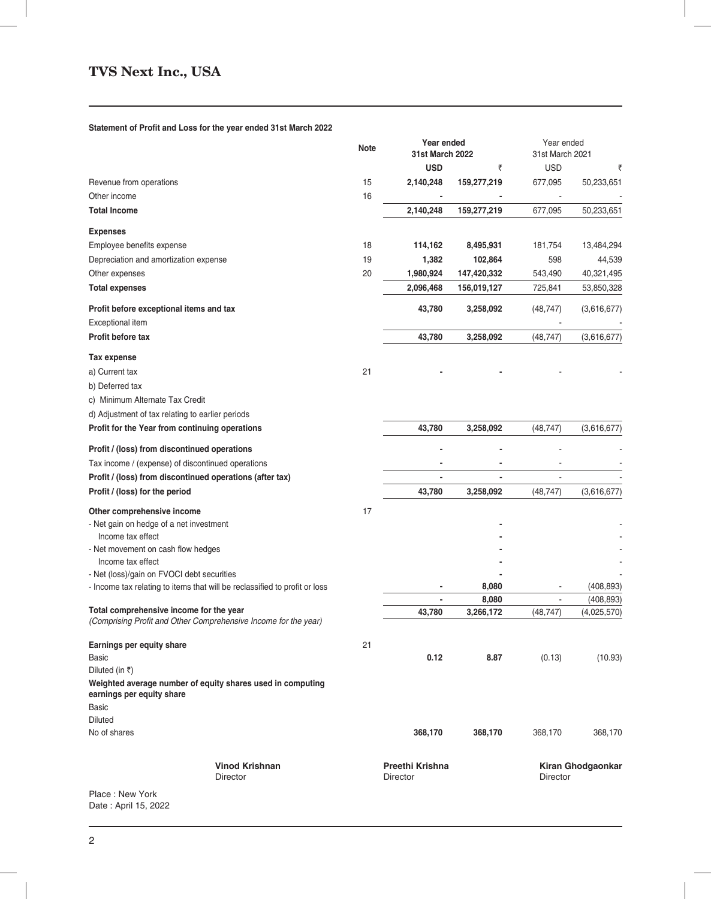## **Statement of Profit and Loss for the year ended 31st March 2022**

|                                                                                                            | <b>Note</b> | Year ended<br><b>31st March 2022</b> |             | Year ended<br>31st March 2021 |                   |
|------------------------------------------------------------------------------------------------------------|-------------|--------------------------------------|-------------|-------------------------------|-------------------|
|                                                                                                            |             | <b>USD</b>                           | ₹           | <b>USD</b>                    | ₹                 |
| Revenue from operations<br>Other income                                                                    | 15<br>16    | 2,140,248                            | 159,277,219 | 677,095                       | 50,233,651        |
| <b>Total Income</b>                                                                                        |             | 2,140,248                            | 159,277,219 | 677,095                       | 50,233,651        |
| <b>Expenses</b>                                                                                            |             |                                      |             |                               |                   |
| Employee benefits expense                                                                                  | 18          | 114,162                              | 8,495,931   | 181,754                       | 13,484,294        |
| Depreciation and amortization expense                                                                      | 19          | 1,382                                | 102,864     | 598                           | 44,539            |
| Other expenses                                                                                             | 20          | 1,980,924                            | 147,420,332 | 543,490                       | 40,321,495        |
| <b>Total expenses</b>                                                                                      |             | 2,096,468                            | 156,019,127 | 725,841                       | 53,850,328        |
| Profit before exceptional items and tax<br>Exceptional item                                                |             | 43,780                               | 3,258,092   | (48, 747)                     | (3,616,677)       |
| Profit before tax                                                                                          |             | 43,780                               | 3,258,092   | (48, 747)                     | (3,616,677)       |
| Tax expense                                                                                                |             |                                      |             |                               |                   |
| a) Current tax                                                                                             | 21          |                                      |             |                               |                   |
| b) Deferred tax                                                                                            |             |                                      |             |                               |                   |
| c) Minimum Alternate Tax Credit                                                                            |             |                                      |             |                               |                   |
| d) Adjustment of tax relating to earlier periods                                                           |             |                                      |             |                               |                   |
| Profit for the Year from continuing operations                                                             |             | 43,780                               | 3,258,092   | (48, 747)                     | (3,616,677)       |
| Profit / (loss) from discontinued operations                                                               |             |                                      |             |                               |                   |
| Tax income / (expense) of discontinued operations                                                          |             |                                      |             |                               |                   |
| Profit / (loss) from discontinued operations (after tax)                                                   |             |                                      |             |                               |                   |
| Profit / (loss) for the period                                                                             |             | 43,780                               | 3,258,092   | (48, 747)                     | (3,616,677)       |
| Other comprehensive income                                                                                 | 17          |                                      |             |                               |                   |
| - Net gain on hedge of a net investment                                                                    |             |                                      |             |                               |                   |
| Income tax effect                                                                                          |             |                                      |             |                               |                   |
| - Net movement on cash flow hedges<br>Income tax effect                                                    |             |                                      |             |                               |                   |
| - Net (loss)/gain on FVOCI debt securities                                                                 |             |                                      |             |                               |                   |
| - Income tax relating to items that will be reclassified to profit or loss                                 |             |                                      | 8,080       |                               | (408, 893)        |
|                                                                                                            |             |                                      | 8,080       |                               | (408, 893)        |
| Total comprehensive income for the year<br>(Comprising Profit and Other Comprehensive Income for the year) |             | 43,780                               | 3,266,172   | (48, 747)                     | (4,025,570)       |
|                                                                                                            |             |                                      |             |                               |                   |
| Earnings per equity share<br><b>Basic</b>                                                                  | 21          | 0.12                                 | 8.87        | (0.13)                        | (10.93)           |
| Diluted (in ₹)                                                                                             |             |                                      |             |                               |                   |
| Weighted average number of equity shares used in computing<br>earnings per equity share                    |             |                                      |             |                               |                   |
| Basic                                                                                                      |             |                                      |             |                               |                   |
| <b>Diluted</b>                                                                                             |             |                                      |             |                               |                   |
| No of shares                                                                                               |             | 368,170                              | 368,170     | 368,170                       | 368,170           |
| <b>Vinod Krishnan</b>                                                                                      |             | Preethi Krishna                      |             |                               | Kiran Ghodgaonkar |
| Director                                                                                                   |             | <b>Director</b>                      |             | <b>Director</b>               |                   |
| Place: New York<br>Date: April 15, 2022                                                                    |             |                                      |             |                               |                   |

 $\overline{\phantom{a}}$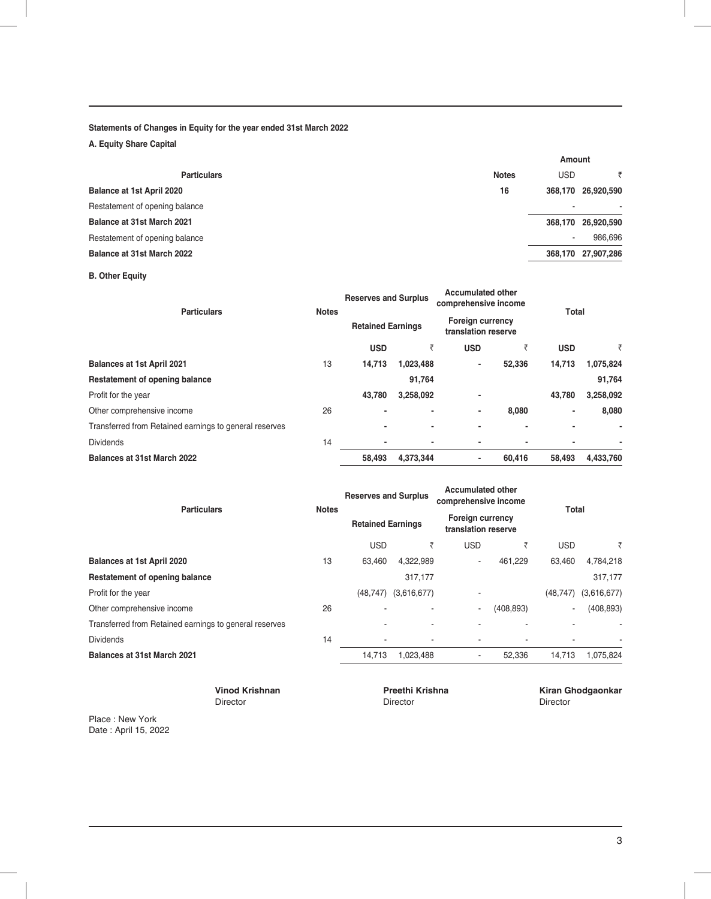## **Statements of Changes in Equity for the year ended 31st March 2022**

**A. Equity Share Capital**

| Amount                   |                    |
|--------------------------|--------------------|
| <b>USD</b>               |                    |
|                          | 368,170 26,920,590 |
|                          | ۰                  |
|                          | 368,170 26,920,590 |
| $\overline{\phantom{a}}$ | 986.696            |
|                          | 368,170 27,907,286 |
|                          |                    |

**B. Other Equity**

| <b>Particulars</b>                                     | <b>Notes</b> | <b>Reserves and Surplus</b><br><b>Retained Earnings</b> |           | <b>Accumulated other</b><br>comprehensive income<br><b>Foreign currency</b><br>translation reserve |        | Total      |           |
|--------------------------------------------------------|--------------|---------------------------------------------------------|-----------|----------------------------------------------------------------------------------------------------|--------|------------|-----------|
|                                                        |              |                                                         |           |                                                                                                    |        |            |           |
|                                                        |              | <b>USD</b>                                              | ₹         | <b>USD</b>                                                                                         | ₹      | <b>USD</b> | ₹         |
| <b>Balances at 1st April 2021</b>                      | 13           | 14,713                                                  | 1,023,488 | $\blacksquare$                                                                                     | 52,336 | 14,713     | 1,075,824 |
| Restatement of opening balance                         |              |                                                         | 91,764    |                                                                                                    |        |            | 91,764    |
| Profit for the year                                    |              | 43,780                                                  | 3,258,092 | $\blacksquare$                                                                                     |        | 43,780     | 3,258,092 |
| Other comprehensive income                             | 26           | ۰                                                       |           | $\blacksquare$                                                                                     | 8.080  | ٠          | 8,080     |
| Transferred from Retained earnings to general reserves |              | ٠                                                       | ٠         | $\overline{\phantom{a}}$                                                                           | ۰      |            | ۰         |
| <b>Dividends</b>                                       | 14           | ٠                                                       |           | $\blacksquare$                                                                                     |        |            | ٠         |
| Balances at 31st March 2022                            |              | 58,493                                                  | 4,373,344 | $\blacksquare$                                                                                     | 60.416 | 58.493     | 4,433,760 |

| <b>Particulars</b>                                     |              | <b>Reserves and Surplus</b><br><b>Retained Earnings</b> |             | <b>Accumulated other</b><br>comprehensive income<br><b>Foreign currency</b><br>translation reserve |            | Total                    |             |
|--------------------------------------------------------|--------------|---------------------------------------------------------|-------------|----------------------------------------------------------------------------------------------------|------------|--------------------------|-------------|
|                                                        | <b>Notes</b> |                                                         |             |                                                                                                    |            |                          |             |
|                                                        |              | <b>USD</b>                                              | ₹           | <b>USD</b>                                                                                         |            | <b>USD</b>               | ₹           |
| Balances at 1st April 2020                             | 13           | 63.460                                                  | 4,322,989   | ٠                                                                                                  | 461.229    | 63.460                   | 4,784,218   |
| <b>Restatement of opening balance</b>                  |              |                                                         | 317,177     |                                                                                                    |            |                          | 317,177     |
| Profit for the year                                    |              | (48.747)                                                | (3,616,677) | ٠                                                                                                  |            | (48, 747)                | (3,616,677) |
| Other comprehensive income                             | 26           |                                                         |             | ٠                                                                                                  | (408, 893) | $\overline{\phantom{a}}$ | (408, 893)  |
| Transferred from Retained earnings to general reserves |              |                                                         |             |                                                                                                    |            |                          | ٠           |
| <b>Dividends</b>                                       | 14           | ۰                                                       |             |                                                                                                    |            |                          |             |
| <b>Balances at 31st March 2021</b>                     |              | 14,713                                                  | 1,023,488   | $\overline{\phantom{a}}$                                                                           | 52,336     | 14,713                   | 1,075,824   |

Director Director Director

 **Vinod Krishnan Ning Arithmetic Preethi Krishna Ning Arithmetic River Circle Circle Circle Circle Circle Circle Circle Circle Circle Circle Circle Circle Circle Circle Circle Circle Circle Circle Circle Circle Circle Circ** 

Place : New York Date : April 15, 2022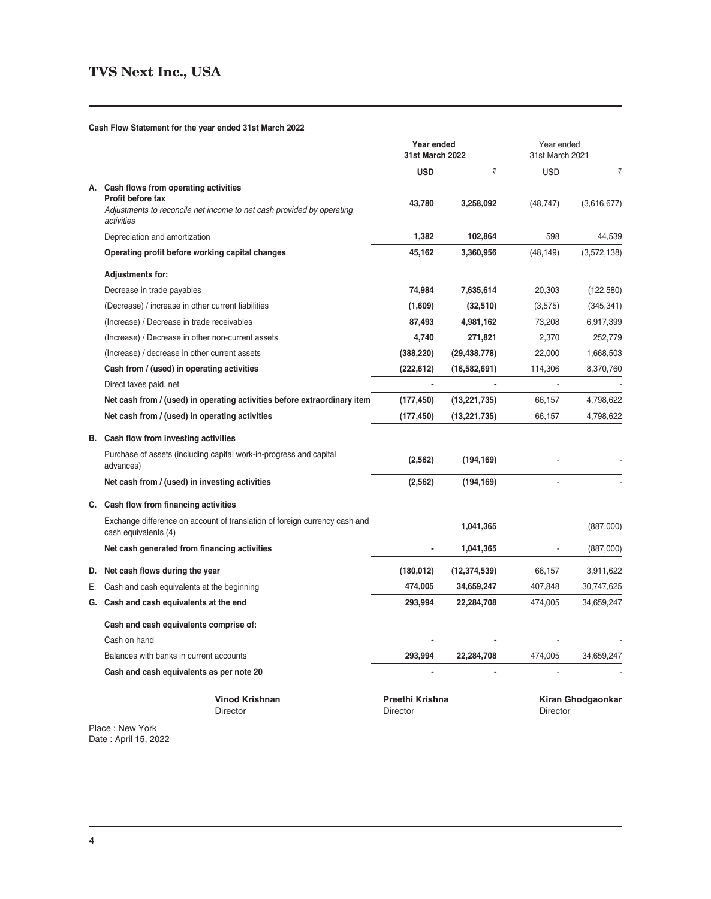## **Cash Flow Statement for the year ended 31st March 2022**

|                                                                                                          | Year ended<br>31st March 2022 |                | Year ended<br>31st March 2021 |                   |
|----------------------------------------------------------------------------------------------------------|-------------------------------|----------------|-------------------------------|-------------------|
|                                                                                                          | <b>USD</b>                    | ₹              | <b>USD</b>                    | ₹                 |
| A. Cash flows from operating activities                                                                  |                               |                |                               |                   |
| Profit before tax<br>Adjustments to reconcile net income to net cash provided by operating<br>activities | 43,780                        | 3,258,092      | (48, 747)                     | (3,616,677)       |
| Depreciation and amortization                                                                            | 1,382                         | 102,864        | 598                           | 44,539            |
| Operating profit before working capital changes                                                          | 45,162                        | 3,360,956      | (48, 149)                     | (3,572,138)       |
| <b>Adjustments for:</b>                                                                                  |                               |                |                               |                   |
| Decrease in trade payables                                                                               | 74,984                        | 7,635,614      | 20,303                        | (122, 580)        |
| (Decrease) / increase in other current liabilities                                                       | (1,609)                       | (32, 510)      | (3,575)                       | (345, 341)        |
| (Increase) / Decrease in trade receivables                                                               | 87,493                        | 4,981,162      | 73,208                        | 6,917,399         |
| (Increase) / Decrease in other non-current assets                                                        | 4,740                         | 271,821        | 2,370                         | 252,779           |
| (Increase) / decrease in other current assets                                                            | (388, 220)                    | (29, 438, 778) | 22,000                        | 1,668,503         |
| Cash from / (used) in operating activities                                                               | (222, 612)                    | (16, 582, 691) | 114,306                       | 8,370,760         |
| Direct taxes paid, net                                                                                   |                               |                |                               |                   |
| Net cash from / (used) in operating activities before extraordinary item                                 | (177, 450)                    | (13, 221, 735) | 66,157                        | 4,798,622         |
| Net cash from / (used) in operating activities                                                           | (177, 450)                    | (13, 221, 735) | 66,157                        | 4,798,622         |
| B. Cash flow from investing activities                                                                   |                               |                |                               |                   |
| Purchase of assets (including capital work-in-progress and capital<br>advances)                          | (2, 562)                      | (194, 169)     |                               |                   |
| Net cash from / (used) in investing activities                                                           | (2, 562)                      | (194, 169)     | L.                            |                   |
| C. Cash flow from financing activities                                                                   |                               |                |                               |                   |
| Exchange difference on account of translation of foreign currency cash and<br>cash equivalents (4)       |                               | 1,041,365      |                               | (887,000)         |
| Net cash generated from financing activities                                                             | $\overline{\phantom{a}}$      | 1,041,365      |                               | (887,000)         |
| D. Net cash flows during the year                                                                        | (180, 012)                    | (12, 374, 539) | 66,157                        | 3,911,622         |
| E. Cash and cash equivalents at the beginning                                                            | 474,005                       | 34,659,247     | 407,848                       | 30,747,625        |
| G. Cash and cash equivalents at the end                                                                  | 293,994                       | 22,284,708     | 474,005                       | 34,659,247        |
| Cash and cash equivalents comprise of:                                                                   |                               |                |                               |                   |
| Cash on hand                                                                                             |                               |                |                               |                   |
| Balances with banks in current accounts                                                                  | 293,994                       | 22,284,708     | 474,005                       | 34,659,247        |
| Cash and cash equivalents as per note 20                                                                 |                               |                |                               |                   |
| <b>Vinod Krishnan</b><br>Director                                                                        | Preethi Krishna<br>Director   |                | Director                      | Kiran Ghodgaonkar |

Place : New York Date : April 15, 2022

- 1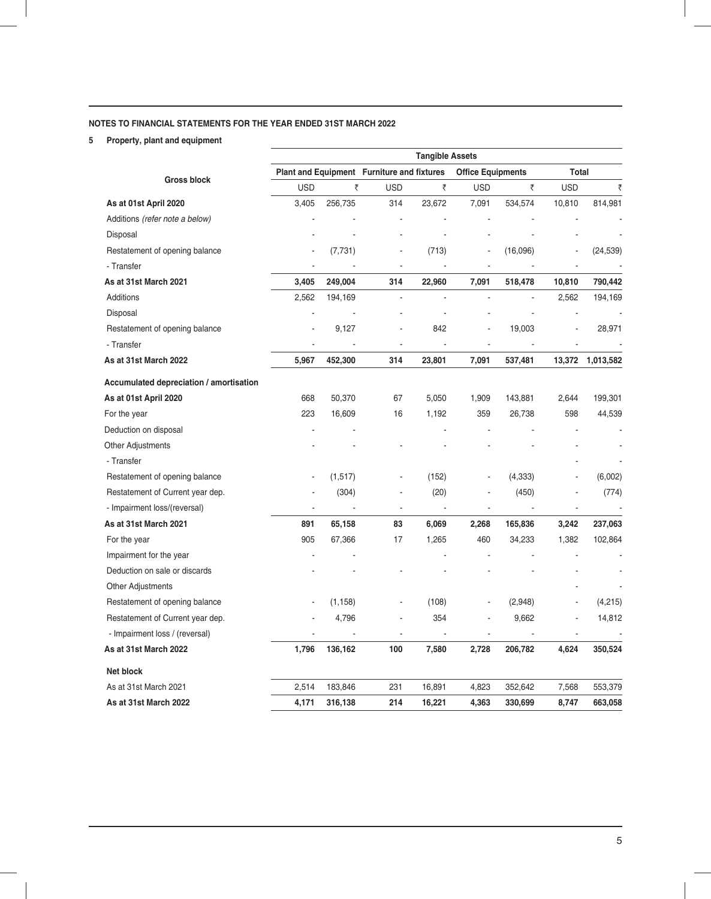# **NOTES TO FINANCIAL STATEMENTS FOR THE YEAR ENDED 31ST MARCH 2022**

**5 Property, plant and equipment**

|                                         | <b>Tangible Assets</b>   |          |                                            |                |                          |                |                |           |  |
|-----------------------------------------|--------------------------|----------|--------------------------------------------|----------------|--------------------------|----------------|----------------|-----------|--|
|                                         |                          |          | Plant and Equipment Furniture and fixtures |                | <b>Office Equipments</b> |                | Total          |           |  |
| <b>Gross block</b>                      | <b>USD</b>               | ₹        | <b>USD</b>                                 | ₹              | <b>USD</b>               | ₹              | <b>USD</b>     | ₹         |  |
| As at 01st April 2020                   | 3,405                    | 256,735  | 314                                        | 23,672         | 7,091                    | 534,574        | 10,810         | 814,981   |  |
| Additions (refer note a below)          |                          |          |                                            |                |                          |                |                |           |  |
| Disposal                                |                          |          |                                            |                |                          |                |                |           |  |
| Restatement of opening balance          |                          | (7, 731) | $\blacksquare$                             | (713)          |                          | (16,096)       |                | (24, 539) |  |
| - Transfer                              | $\overline{\phantom{a}}$ |          | $\blacksquare$                             |                | $\blacksquare$           |                |                |           |  |
| As at 31st March 2021                   | 3,405                    | 249,004  | 314                                        | 22,960         | 7,091                    | 518,478        | 10,810         | 790,442   |  |
| Additions                               | 2,562                    | 194,169  | L.                                         |                |                          | $\overline{a}$ | 2,562          | 194,169   |  |
| Disposal                                |                          |          |                                            | ÷,             |                          |                |                |           |  |
| Restatement of opening balance          |                          | 9,127    |                                            | 842            |                          | 19,003         |                | 28,971    |  |
| - Transfer                              | ä,                       |          | ä,                                         | ÷,             | ÷,                       |                |                |           |  |
| As at 31st March 2022                   | 5,967                    | 452,300  | 314                                        | 23,801         | 7,091                    | 537,481        | 13,372         | 1,013,582 |  |
| Accumulated depreciation / amortisation |                          |          |                                            |                |                          |                |                |           |  |
| As at 01st April 2020                   | 668                      | 50,370   | 67                                         | 5,050          | 1,909                    | 143,881        | 2,644          | 199,301   |  |
| For the year                            | 223                      | 16,609   | 16                                         | 1,192          | 359                      | 26,738         | 598            | 44,539    |  |
| Deduction on disposal                   |                          |          |                                            |                |                          |                |                |           |  |
| Other Adjustments                       |                          |          |                                            |                |                          |                |                |           |  |
| - Transfer                              |                          |          |                                            |                |                          |                |                |           |  |
| Restatement of opening balance          |                          | (1,517)  | ä,                                         | (152)          |                          | (4, 333)       |                | (6,002)   |  |
| Restatement of Current year dep.        |                          | (304)    | ä,                                         | (20)           | $\blacksquare$           | (450)          | $\overline{a}$ | (774)     |  |
| - Impairment loss/(reversal)            |                          |          | $\blacksquare$                             | $\blacksquare$ | $\blacksquare$           |                |                |           |  |
| As at 31st March 2021                   | 891                      | 65,158   | 83                                         | 6,069          | 2,268                    | 165,836        | 3,242          | 237,063   |  |
| For the year                            | 905                      | 67,366   | 17                                         | 1,265          | 460                      | 34,233         | 1,382          | 102,864   |  |
| Impairment for the year                 |                          |          |                                            |                |                          |                |                | L.        |  |
| Deduction on sale or discards           |                          |          |                                            |                |                          |                |                |           |  |
| Other Adjustments                       |                          |          |                                            |                |                          |                |                |           |  |
| Restatement of opening balance          |                          | (1, 158) |                                            | (108)          | ÷,                       | (2,948)        |                | (4,215)   |  |
| Restatement of Current year dep.        |                          | 4,796    | ä,                                         | 354            |                          | 9,662          | ä,             | 14,812    |  |
| - Impairment loss / (reversal)          | $\overline{a}$           |          | $\overline{a}$                             |                | $\blacksquare$           |                | ÷,             |           |  |
| As at 31st March 2022                   | 1,796                    | 136,162  | 100                                        | 7,580          | 2,728                    | 206,782        | 4,624          | 350,524   |  |
| Net block                               |                          |          |                                            |                |                          |                |                |           |  |
| As at 31st March 2021                   | 2,514                    | 183,846  | 231                                        | 16,891         | 4,823                    | 352,642        | 7,568          | 553,379   |  |
| As at 31st March 2022                   | 4,171                    | 316,138  | 214                                        | 16,221         | 4,363                    | 330,699        | 8,747          | 663,058   |  |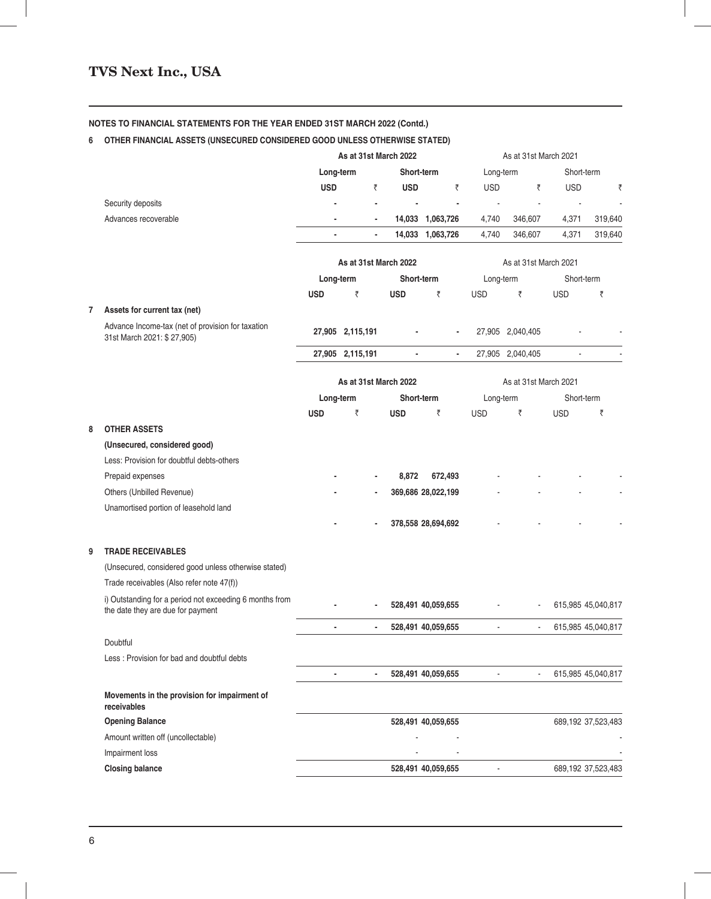# **6 OTHER FINANCIAL ASSETS (UNSECURED CONSIDERED GOOD UNLESS OTHERWISE STATED)**

|   |                                                                                              | As at 31st March 2022 |   | As at 31st March 2021    |                       |                          |                       |                       |            |                    |
|---|----------------------------------------------------------------------------------------------|-----------------------|---|--------------------------|-----------------------|--------------------------|-----------------------|-----------------------|------------|--------------------|
|   |                                                                                              | Long-term             |   |                          | Short-term            |                          | Long-term             |                       | Short-term |                    |
|   |                                                                                              | <b>USD</b>            |   | ₹                        | <b>USD</b>            | ₹                        | <b>USD</b>            | ₹                     | <b>USD</b> | ₹                  |
|   | Security deposits                                                                            |                       |   | $\overline{\phantom{a}}$ |                       |                          |                       |                       |            |                    |
|   | Advances recoverable                                                                         |                       |   | $\overline{\phantom{a}}$ |                       | 14,033 1,063,726         | 4,740                 | 346,607               | 4,371      | 319,640            |
|   |                                                                                              |                       |   | $\blacksquare$           |                       | 14,033 1,063,726         | 4,740                 | 346,607               | 4,371      | 319,640            |
|   |                                                                                              |                       |   |                          | As at 31st March 2022 |                          |                       | As at 31st March 2021 |            |                    |
|   |                                                                                              | Long-term             |   |                          | Short-term            |                          | Long-term             |                       | Short-term |                    |
|   |                                                                                              | <b>USD</b>            | ₹ |                          | <b>USD</b>            | ₹                        | <b>USD</b>            | ₹                     | <b>USD</b> | ₹                  |
|   | Assets for current tax (net)                                                                 |                       |   |                          |                       |                          |                       |                       |            |                    |
|   | Advance Income-tax (net of provision for taxation<br>31st March 2021: \$27,905)              | 27,905 2,115,191      |   |                          |                       |                          |                       | 27,905 2,040,405      |            |                    |
|   |                                                                                              | 27,905 2,115,191      |   |                          |                       | $\overline{\phantom{a}}$ |                       | 27,905 2,040,405      |            |                    |
|   |                                                                                              |                       |   |                          |                       |                          |                       |                       |            |                    |
|   |                                                                                              |                       |   |                          | As at 31st March 2022 |                          | As at 31st March 2021 |                       |            |                    |
|   |                                                                                              | Long-term             |   |                          | Short-term            |                          | Long-term             |                       | Short-term |                    |
|   |                                                                                              | <b>USD</b>            | ₹ |                          | <b>USD</b>            | ₹                        | <b>USD</b>            | ₹                     | <b>USD</b> | ₹                  |
| 8 | <b>OTHER ASSETS</b>                                                                          |                       |   |                          |                       |                          |                       |                       |            |                    |
|   | (Unsecured, considered good)                                                                 |                       |   |                          |                       |                          |                       |                       |            |                    |
|   | Less: Provision for doubtful debts-others                                                    |                       |   |                          |                       |                          |                       |                       |            |                    |
|   | Prepaid expenses                                                                             |                       |   |                          | 8,872                 | 672,493                  |                       |                       |            |                    |
|   | Others (Unbilled Revenue)                                                                    |                       |   |                          |                       | 369,686 28,022,199       |                       |                       |            |                    |
|   | Unamortised portion of leasehold land                                                        |                       |   |                          |                       |                          |                       |                       |            |                    |
|   |                                                                                              |                       |   |                          |                       | 378,558 28,694,692       |                       |                       |            |                    |
| 9 | <b>TRADE RECEIVABLES</b>                                                                     |                       |   |                          |                       |                          |                       |                       |            |                    |
|   | (Unsecured, considered good unless otherwise stated)                                         |                       |   |                          |                       |                          |                       |                       |            |                    |
|   | Trade receivables (Also refer note 47(f))                                                    |                       |   |                          |                       |                          |                       |                       |            |                    |
|   | i) Outstanding for a period not exceeding 6 months from<br>the date they are due for payment |                       |   |                          |                       | 528,491 40,059,655       |                       |                       |            | 615,985 45,040,817 |
|   |                                                                                              |                       |   |                          |                       | 528,491 40,059,655       |                       |                       |            | 615,985 45,040,817 |
|   | Doubtful                                                                                     |                       |   |                          |                       |                          |                       |                       |            |                    |
|   | Less: Provision for bad and doubtful debts                                                   |                       |   |                          |                       |                          |                       |                       |            |                    |
|   |                                                                                              |                       |   |                          |                       | 528,491 40,059,655       |                       |                       |            | 615,985 45,040,817 |
|   | Movements in the provision for impairment of<br>receivables                                  |                       |   |                          |                       |                          |                       |                       |            |                    |
|   | <b>Opening Balance</b>                                                                       |                       |   |                          |                       | 528,491 40,059,655       |                       |                       |            | 689,192 37,523,483 |
|   | Amount written off (uncollectable)                                                           |                       |   |                          |                       |                          |                       |                       |            |                    |
|   | Impairment loss                                                                              |                       |   |                          |                       |                          |                       |                       |            |                    |
|   | <b>Closing balance</b>                                                                       |                       |   |                          |                       | 528,491 40,059,655       |                       |                       |            | 689,192 37,523,483 |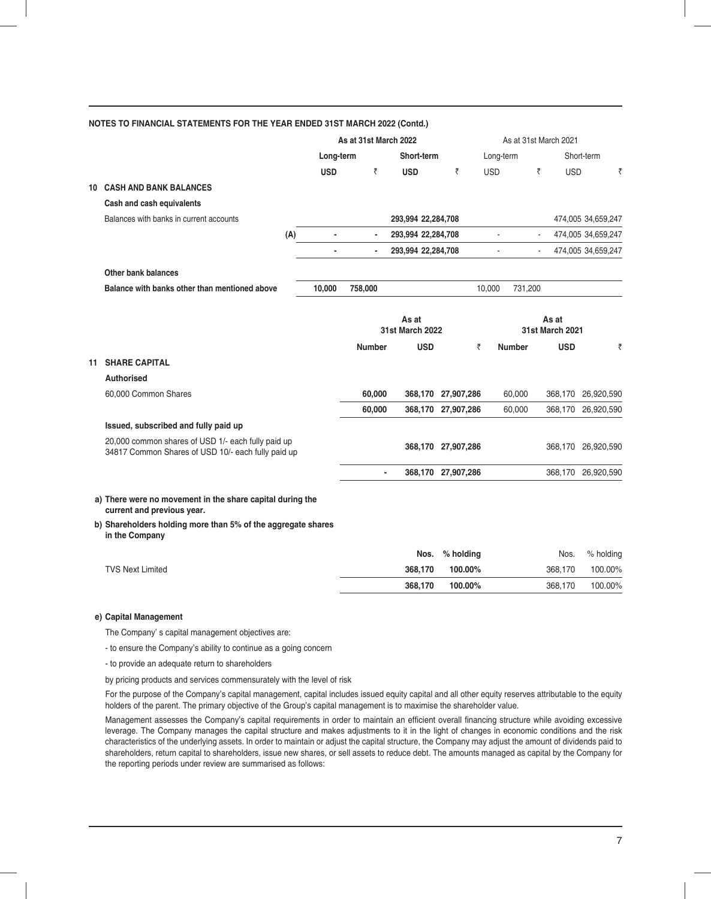|    |                                                                                                          |            | As at 31st March 2022    |                        |                    |                   | As at 31st March 2021  |                    |
|----|----------------------------------------------------------------------------------------------------------|------------|--------------------------|------------------------|--------------------|-------------------|------------------------|--------------------|
|    |                                                                                                          | Long-term  |                          | Short-term             |                    | Long-term         |                        | Short-term         |
|    |                                                                                                          | <b>USD</b> | ₹                        | <b>USD</b>             | ₹                  | <b>USD</b>        | ₹<br><b>USD</b>        | ₹                  |
| 10 | <b>CASH AND BANK BALANCES</b>                                                                            |            |                          |                        |                    |                   |                        |                    |
|    | Cash and cash equivalents                                                                                |            |                          |                        |                    |                   |                        |                    |
|    | Balances with banks in current accounts                                                                  |            |                          | 293,994 22,284,708     |                    |                   |                        | 474,005 34,659,247 |
|    | (A)                                                                                                      | ٠          |                          | 293,994 22,284,708     |                    | $\blacksquare$    | $\blacksquare$         | 474,005 34,659,247 |
|    |                                                                                                          |            |                          | 293,994 22,284,708     |                    | L.                |                        | 474,005 34,659,247 |
|    | Other bank balances                                                                                      |            |                          |                        |                    |                   |                        |                    |
|    | Balance with banks other than mentioned above                                                            | 10,000     | 758,000                  |                        |                    | 10,000<br>731,200 |                        |                    |
|    |                                                                                                          |            |                          |                        |                    |                   |                        |                    |
|    |                                                                                                          |            |                          | As at                  |                    |                   | As at                  |                    |
|    |                                                                                                          |            |                          | <b>31st March 2022</b> |                    |                   | <b>31st March 2021</b> |                    |
|    |                                                                                                          |            | <b>Number</b>            | <b>USD</b>             | ₹                  | <b>Number</b>     | <b>USD</b>             | ₹                  |
|    | <b>11 SHARE CAPITAL</b>                                                                                  |            |                          |                        |                    |                   |                        |                    |
|    | Authorised                                                                                               |            |                          |                        |                    |                   |                        |                    |
|    | 60,000 Common Shares                                                                                     |            | 60,000                   |                        | 368,170 27,907,286 | 60,000            | 368,170                | 26,920,590         |
|    |                                                                                                          |            | 60,000                   |                        | 368,170 27,907,286 | 60,000            |                        | 368,170 26,920,590 |
|    | Issued, subscribed and fully paid up                                                                     |            |                          |                        |                    |                   |                        |                    |
|    | 20,000 common shares of USD 1/- each fully paid up<br>34817 Common Shares of USD 10/- each fully paid up |            |                          |                        | 368,170 27,907,286 |                   |                        | 368,170 26,920,590 |
|    |                                                                                                          |            | $\overline{\phantom{a}}$ |                        | 368,170 27,907,286 |                   |                        | 368,170 26,920,590 |
|    | a) There were no movement in the share capital during the<br>current and previous year.                  |            |                          |                        |                    |                   |                        |                    |
|    | b) Shareholders holding more than 5% of the aggregate shares<br>in the Company                           |            |                          |                        |                    |                   |                        |                    |
|    |                                                                                                          |            |                          | Nos.                   | % holding          |                   | Nos.                   | % holding          |
|    | <b>TVS Next Limited</b>                                                                                  |            |                          | 368,170                | 100.00%            |                   | 368,170                | 100.00%            |
|    |                                                                                                          |            |                          | 368,170                | 100.00%            |                   | 368,170                | 100.00%            |

The Company' s capital management objectives are:

- to ensure the Company's ability to continue as a going concern

- to provide an adequate return to shareholders

by pricing products and services commensurately with the level of risk

For the purpose of the Company's capital management, capital includes issued equity capital and all other equity reserves attributable to the equity holders of the parent. The primary objective of the Group's capital management is to maximise the shareholder value.

Management assesses the Company's capital requirements in order to maintain an efficient overall financing structure while avoiding excessive leverage. The Company manages the capital structure and makes adjustments to it in the light of changes in economic conditions and the risk characteristics of the underlying assets. In order to maintain or adjust the capital structure, the Company may adjust the amount of dividends paid to shareholders, return capital to shareholders, issue new shares, or sell assets to reduce debt. The amounts managed as capital by the Company for the reporting periods under review are summarised as follows: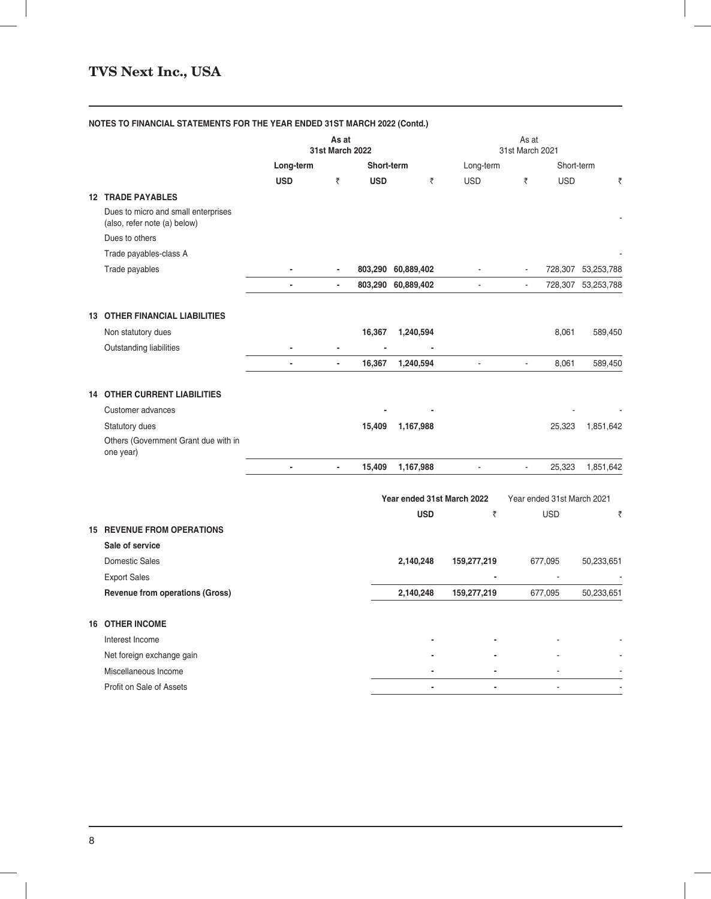|  |                                                                     | As at<br><b>31st March 2022</b> |                          |            | As at<br>31st March 2021   |                          |                                    |                    |
|--|---------------------------------------------------------------------|---------------------------------|--------------------------|------------|----------------------------|--------------------------|------------------------------------|--------------------|
|  |                                                                     | Long-term                       |                          | Short-term |                            | Long-term                | Short-term                         |                    |
|  |                                                                     | <b>USD</b>                      | ₹                        | <b>USD</b> | ₹                          | <b>USD</b>               | ₹<br><b>USD</b>                    | ₹                  |
|  | <b>12 TRADE PAYABLES</b>                                            |                                 |                          |            |                            |                          |                                    |                    |
|  | Dues to micro and small enterprises<br>(also, refer note (a) below) |                                 |                          |            |                            |                          |                                    |                    |
|  | Dues to others                                                      |                                 |                          |            |                            |                          |                                    |                    |
|  | Trade payables-class A                                              |                                 |                          |            |                            |                          |                                    |                    |
|  | Trade payables                                                      |                                 |                          |            | 803,290 60,889,402         |                          |                                    | 728,307 53,253,788 |
|  |                                                                     | $\blacksquare$                  | $\overline{\phantom{a}}$ |            | 803,290 60,889,402         | $\Box$                   | $\blacksquare$                     | 728,307 53,253,788 |
|  | <b>13 OTHER FINANCIAL LIABILITIES</b>                               |                                 |                          |            |                            |                          |                                    |                    |
|  | Non statutory dues                                                  |                                 |                          | 16,367     | 1,240,594                  |                          | 8,061                              | 589,450            |
|  | Outstanding liabilities                                             |                                 |                          |            |                            |                          |                                    |                    |
|  |                                                                     | L.                              |                          | 16,367     | 1,240,594                  | $\overline{\phantom{a}}$ | 8,061<br>$\mathbf{r}$              | 589,450            |
|  | <b>14 OTHER CURRENT LIABILITIES</b>                                 |                                 |                          |            |                            |                          |                                    |                    |
|  | Customer advances                                                   |                                 |                          |            |                            |                          |                                    |                    |
|  | Statutory dues                                                      |                                 |                          | 15,409     | 1,167,988                  |                          | 25,323                             | 1,851,642          |
|  | Others (Government Grant due with in<br>one year)                   |                                 |                          |            |                            |                          |                                    |                    |
|  |                                                                     | $\overline{\phantom{a}}$        | ÷.                       | 15,409     | 1,167,988                  | $\blacksquare$           | $\overline{\phantom{a}}$<br>25,323 | 1,851,642          |
|  |                                                                     |                                 |                          |            | Year ended 31st March 2022 |                          | Year ended 31st March 2021         |                    |
|  |                                                                     |                                 |                          |            | <b>USD</b>                 | ₹                        | <b>USD</b>                         | ₹                  |
|  | <b>15 REVENUE FROM OPERATIONS</b>                                   |                                 |                          |            |                            |                          |                                    |                    |
|  | Sale of service                                                     |                                 |                          |            |                            |                          |                                    |                    |
|  | <b>Domestic Sales</b>                                               |                                 |                          |            | 2,140,248                  | 159,277,219              | 677,095                            | 50,233,651         |
|  | <b>Export Sales</b>                                                 |                                 |                          |            |                            |                          | $\overline{\phantom{a}}$           |                    |
|  | Revenue from operations (Gross)                                     |                                 |                          |            | 2,140,248                  | 159,277,219              | 677,095                            | 50,233,651         |
|  | <b>16 OTHER INCOME</b>                                              |                                 |                          |            |                            |                          |                                    |                    |
|  | Interest Income                                                     |                                 |                          |            |                            |                          |                                    |                    |
|  | Net foreign exchange gain                                           |                                 |                          |            |                            |                          |                                    |                    |
|  | Miscellaneous Income                                                |                                 |                          |            |                            |                          |                                    |                    |
|  | Profit on Sale of Assets                                            |                                 |                          |            |                            |                          |                                    |                    |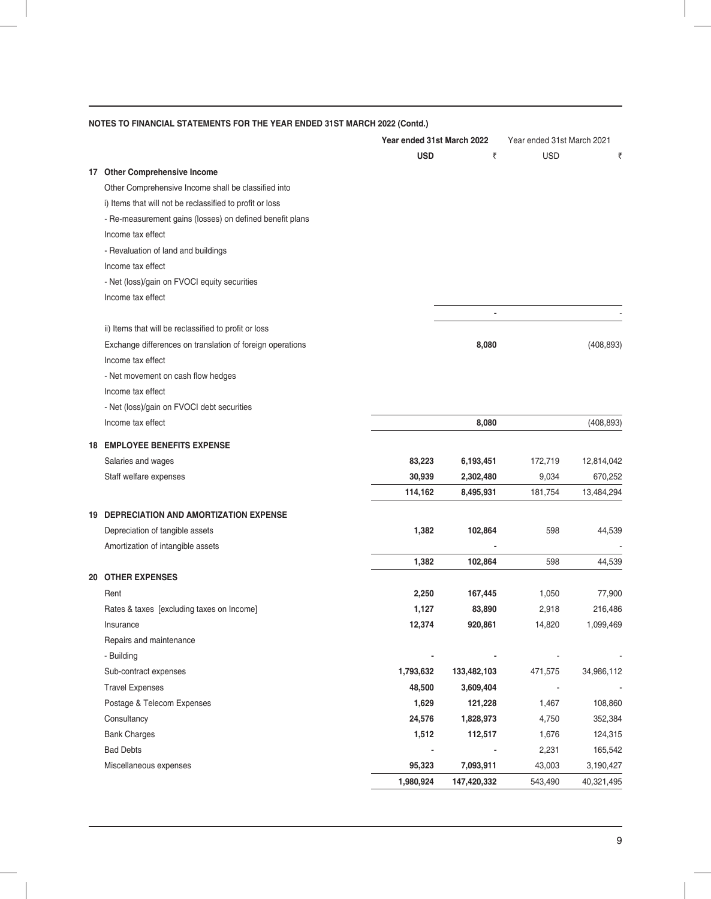| <b>USD</b><br><b>USD</b><br>₹<br>₹<br>17 Other Comprehensive Income<br>Other Comprehensive Income shall be classified into<br>i) Items that will not be reclassified to profit or loss<br>- Re-measurement gains (losses) on defined benefit plans<br>Income tax effect<br>- Revaluation of land and buildings<br>Income tax effect<br>- Net (loss)/gain on FVOCI equity securities<br>Income tax effect<br>ii) Items that will be reclassified to profit or loss<br>Exchange differences on translation of foreign operations<br>8,080<br>(408, 893)<br>Income tax effect<br>- Net movement on cash flow hedges<br>Income tax effect<br>- Net (loss)/gain on FVOCI debt securities<br>Income tax effect<br>8,080<br>(408, 893)<br><b>EMPLOYEE BENEFITS EXPENSE</b><br>83,223<br>Salaries and wages<br>6,193,451<br>172,719<br>12,814,042<br>Staff welfare expenses<br>30,939<br>2,302,480<br>9,034<br>670,252<br>114,162<br>181,754<br>13,484,294<br>8,495,931<br><b>19 DEPRECIATION AND AMORTIZATION EXPENSE</b><br>1,382<br>Depreciation of tangible assets<br>102,864<br>598<br>44,539<br>Amortization of intangible assets<br>1,382<br>102,864<br>598<br>44,539<br><b>OTHER EXPENSES</b><br>20<br>Rent<br>2,250<br>1,050<br>77,900<br>167,445<br>1,127<br>83,890<br>2,918<br>216,486<br>Rates & taxes [excluding taxes on Income]<br>12,374<br>920,861<br>14,820<br>1,099,469<br>Insurance<br>Repairs and maintenance<br>- Building<br>1,793,632<br>133,482,103<br>471,575<br>Sub-contract expenses<br>34,986,112<br><b>Travel Expenses</b><br>48,500<br>3,609,404<br>Postage & Telecom Expenses<br>1,629<br>121,228<br>108,860<br>1,467<br>24,576<br>Consultancy<br>1,828,973<br>4,750<br>352,384 |    |                     | Year ended 31st March 2022 |         | Year ended 31st March 2021 |         |
|---------------------------------------------------------------------------------------------------------------------------------------------------------------------------------------------------------------------------------------------------------------------------------------------------------------------------------------------------------------------------------------------------------------------------------------------------------------------------------------------------------------------------------------------------------------------------------------------------------------------------------------------------------------------------------------------------------------------------------------------------------------------------------------------------------------------------------------------------------------------------------------------------------------------------------------------------------------------------------------------------------------------------------------------------------------------------------------------------------------------------------------------------------------------------------------------------------------------------------------------------------------------------------------------------------------------------------------------------------------------------------------------------------------------------------------------------------------------------------------------------------------------------------------------------------------------------------------------------------------------------------------------------------------------------------------------------------|----|---------------------|----------------------------|---------|----------------------------|---------|
|                                                                                                                                                                                                                                                                                                                                                                                                                                                                                                                                                                                                                                                                                                                                                                                                                                                                                                                                                                                                                                                                                                                                                                                                                                                                                                                                                                                                                                                                                                                                                                                                                                                                                                         |    |                     |                            |         |                            |         |
|                                                                                                                                                                                                                                                                                                                                                                                                                                                                                                                                                                                                                                                                                                                                                                                                                                                                                                                                                                                                                                                                                                                                                                                                                                                                                                                                                                                                                                                                                                                                                                                                                                                                                                         |    |                     |                            |         |                            |         |
|                                                                                                                                                                                                                                                                                                                                                                                                                                                                                                                                                                                                                                                                                                                                                                                                                                                                                                                                                                                                                                                                                                                                                                                                                                                                                                                                                                                                                                                                                                                                                                                                                                                                                                         |    |                     |                            |         |                            |         |
|                                                                                                                                                                                                                                                                                                                                                                                                                                                                                                                                                                                                                                                                                                                                                                                                                                                                                                                                                                                                                                                                                                                                                                                                                                                                                                                                                                                                                                                                                                                                                                                                                                                                                                         |    |                     |                            |         |                            |         |
|                                                                                                                                                                                                                                                                                                                                                                                                                                                                                                                                                                                                                                                                                                                                                                                                                                                                                                                                                                                                                                                                                                                                                                                                                                                                                                                                                                                                                                                                                                                                                                                                                                                                                                         |    |                     |                            |         |                            |         |
|                                                                                                                                                                                                                                                                                                                                                                                                                                                                                                                                                                                                                                                                                                                                                                                                                                                                                                                                                                                                                                                                                                                                                                                                                                                                                                                                                                                                                                                                                                                                                                                                                                                                                                         |    |                     |                            |         |                            |         |
|                                                                                                                                                                                                                                                                                                                                                                                                                                                                                                                                                                                                                                                                                                                                                                                                                                                                                                                                                                                                                                                                                                                                                                                                                                                                                                                                                                                                                                                                                                                                                                                                                                                                                                         |    |                     |                            |         |                            |         |
|                                                                                                                                                                                                                                                                                                                                                                                                                                                                                                                                                                                                                                                                                                                                                                                                                                                                                                                                                                                                                                                                                                                                                                                                                                                                                                                                                                                                                                                                                                                                                                                                                                                                                                         |    |                     |                            |         |                            |         |
|                                                                                                                                                                                                                                                                                                                                                                                                                                                                                                                                                                                                                                                                                                                                                                                                                                                                                                                                                                                                                                                                                                                                                                                                                                                                                                                                                                                                                                                                                                                                                                                                                                                                                                         |    |                     |                            |         |                            |         |
|                                                                                                                                                                                                                                                                                                                                                                                                                                                                                                                                                                                                                                                                                                                                                                                                                                                                                                                                                                                                                                                                                                                                                                                                                                                                                                                                                                                                                                                                                                                                                                                                                                                                                                         |    |                     |                            |         |                            |         |
|                                                                                                                                                                                                                                                                                                                                                                                                                                                                                                                                                                                                                                                                                                                                                                                                                                                                                                                                                                                                                                                                                                                                                                                                                                                                                                                                                                                                                                                                                                                                                                                                                                                                                                         |    |                     |                            |         |                            |         |
|                                                                                                                                                                                                                                                                                                                                                                                                                                                                                                                                                                                                                                                                                                                                                                                                                                                                                                                                                                                                                                                                                                                                                                                                                                                                                                                                                                                                                                                                                                                                                                                                                                                                                                         |    |                     |                            |         |                            |         |
|                                                                                                                                                                                                                                                                                                                                                                                                                                                                                                                                                                                                                                                                                                                                                                                                                                                                                                                                                                                                                                                                                                                                                                                                                                                                                                                                                                                                                                                                                                                                                                                                                                                                                                         |    |                     |                            |         |                            |         |
|                                                                                                                                                                                                                                                                                                                                                                                                                                                                                                                                                                                                                                                                                                                                                                                                                                                                                                                                                                                                                                                                                                                                                                                                                                                                                                                                                                                                                                                                                                                                                                                                                                                                                                         |    |                     |                            |         |                            |         |
|                                                                                                                                                                                                                                                                                                                                                                                                                                                                                                                                                                                                                                                                                                                                                                                                                                                                                                                                                                                                                                                                                                                                                                                                                                                                                                                                                                                                                                                                                                                                                                                                                                                                                                         |    |                     |                            |         |                            |         |
|                                                                                                                                                                                                                                                                                                                                                                                                                                                                                                                                                                                                                                                                                                                                                                                                                                                                                                                                                                                                                                                                                                                                                                                                                                                                                                                                                                                                                                                                                                                                                                                                                                                                                                         |    |                     |                            |         |                            |         |
|                                                                                                                                                                                                                                                                                                                                                                                                                                                                                                                                                                                                                                                                                                                                                                                                                                                                                                                                                                                                                                                                                                                                                                                                                                                                                                                                                                                                                                                                                                                                                                                                                                                                                                         |    |                     |                            |         |                            |         |
|                                                                                                                                                                                                                                                                                                                                                                                                                                                                                                                                                                                                                                                                                                                                                                                                                                                                                                                                                                                                                                                                                                                                                                                                                                                                                                                                                                                                                                                                                                                                                                                                                                                                                                         |    |                     |                            |         |                            |         |
|                                                                                                                                                                                                                                                                                                                                                                                                                                                                                                                                                                                                                                                                                                                                                                                                                                                                                                                                                                                                                                                                                                                                                                                                                                                                                                                                                                                                                                                                                                                                                                                                                                                                                                         | 18 |                     |                            |         |                            |         |
|                                                                                                                                                                                                                                                                                                                                                                                                                                                                                                                                                                                                                                                                                                                                                                                                                                                                                                                                                                                                                                                                                                                                                                                                                                                                                                                                                                                                                                                                                                                                                                                                                                                                                                         |    |                     |                            |         |                            |         |
|                                                                                                                                                                                                                                                                                                                                                                                                                                                                                                                                                                                                                                                                                                                                                                                                                                                                                                                                                                                                                                                                                                                                                                                                                                                                                                                                                                                                                                                                                                                                                                                                                                                                                                         |    |                     |                            |         |                            |         |
|                                                                                                                                                                                                                                                                                                                                                                                                                                                                                                                                                                                                                                                                                                                                                                                                                                                                                                                                                                                                                                                                                                                                                                                                                                                                                                                                                                                                                                                                                                                                                                                                                                                                                                         |    |                     |                            |         |                            |         |
|                                                                                                                                                                                                                                                                                                                                                                                                                                                                                                                                                                                                                                                                                                                                                                                                                                                                                                                                                                                                                                                                                                                                                                                                                                                                                                                                                                                                                                                                                                                                                                                                                                                                                                         |    |                     |                            |         |                            |         |
|                                                                                                                                                                                                                                                                                                                                                                                                                                                                                                                                                                                                                                                                                                                                                                                                                                                                                                                                                                                                                                                                                                                                                                                                                                                                                                                                                                                                                                                                                                                                                                                                                                                                                                         |    |                     |                            |         |                            |         |
|                                                                                                                                                                                                                                                                                                                                                                                                                                                                                                                                                                                                                                                                                                                                                                                                                                                                                                                                                                                                                                                                                                                                                                                                                                                                                                                                                                                                                                                                                                                                                                                                                                                                                                         |    |                     |                            |         |                            |         |
|                                                                                                                                                                                                                                                                                                                                                                                                                                                                                                                                                                                                                                                                                                                                                                                                                                                                                                                                                                                                                                                                                                                                                                                                                                                                                                                                                                                                                                                                                                                                                                                                                                                                                                         |    |                     |                            |         |                            |         |
|                                                                                                                                                                                                                                                                                                                                                                                                                                                                                                                                                                                                                                                                                                                                                                                                                                                                                                                                                                                                                                                                                                                                                                                                                                                                                                                                                                                                                                                                                                                                                                                                                                                                                                         |    |                     |                            |         |                            |         |
|                                                                                                                                                                                                                                                                                                                                                                                                                                                                                                                                                                                                                                                                                                                                                                                                                                                                                                                                                                                                                                                                                                                                                                                                                                                                                                                                                                                                                                                                                                                                                                                                                                                                                                         |    |                     |                            |         |                            |         |
|                                                                                                                                                                                                                                                                                                                                                                                                                                                                                                                                                                                                                                                                                                                                                                                                                                                                                                                                                                                                                                                                                                                                                                                                                                                                                                                                                                                                                                                                                                                                                                                                                                                                                                         |    |                     |                            |         |                            |         |
|                                                                                                                                                                                                                                                                                                                                                                                                                                                                                                                                                                                                                                                                                                                                                                                                                                                                                                                                                                                                                                                                                                                                                                                                                                                                                                                                                                                                                                                                                                                                                                                                                                                                                                         |    |                     |                            |         |                            |         |
|                                                                                                                                                                                                                                                                                                                                                                                                                                                                                                                                                                                                                                                                                                                                                                                                                                                                                                                                                                                                                                                                                                                                                                                                                                                                                                                                                                                                                                                                                                                                                                                                                                                                                                         |    |                     |                            |         |                            |         |
|                                                                                                                                                                                                                                                                                                                                                                                                                                                                                                                                                                                                                                                                                                                                                                                                                                                                                                                                                                                                                                                                                                                                                                                                                                                                                                                                                                                                                                                                                                                                                                                                                                                                                                         |    |                     |                            |         |                            |         |
|                                                                                                                                                                                                                                                                                                                                                                                                                                                                                                                                                                                                                                                                                                                                                                                                                                                                                                                                                                                                                                                                                                                                                                                                                                                                                                                                                                                                                                                                                                                                                                                                                                                                                                         |    |                     |                            |         |                            |         |
|                                                                                                                                                                                                                                                                                                                                                                                                                                                                                                                                                                                                                                                                                                                                                                                                                                                                                                                                                                                                                                                                                                                                                                                                                                                                                                                                                                                                                                                                                                                                                                                                                                                                                                         |    |                     |                            |         |                            |         |
|                                                                                                                                                                                                                                                                                                                                                                                                                                                                                                                                                                                                                                                                                                                                                                                                                                                                                                                                                                                                                                                                                                                                                                                                                                                                                                                                                                                                                                                                                                                                                                                                                                                                                                         |    |                     |                            |         |                            |         |
|                                                                                                                                                                                                                                                                                                                                                                                                                                                                                                                                                                                                                                                                                                                                                                                                                                                                                                                                                                                                                                                                                                                                                                                                                                                                                                                                                                                                                                                                                                                                                                                                                                                                                                         |    |                     |                            |         |                            |         |
|                                                                                                                                                                                                                                                                                                                                                                                                                                                                                                                                                                                                                                                                                                                                                                                                                                                                                                                                                                                                                                                                                                                                                                                                                                                                                                                                                                                                                                                                                                                                                                                                                                                                                                         |    | <b>Bank Charges</b> | 1,512                      | 112,517 | 1,676                      | 124,315 |
| <b>Bad Debts</b><br>2,231<br>165,542                                                                                                                                                                                                                                                                                                                                                                                                                                                                                                                                                                                                                                                                                                                                                                                                                                                                                                                                                                                                                                                                                                                                                                                                                                                                                                                                                                                                                                                                                                                                                                                                                                                                    |    |                     |                            |         |                            |         |
| 95,323<br>Miscellaneous expenses<br>7,093,911<br>43,003<br>3,190,427                                                                                                                                                                                                                                                                                                                                                                                                                                                                                                                                                                                                                                                                                                                                                                                                                                                                                                                                                                                                                                                                                                                                                                                                                                                                                                                                                                                                                                                                                                                                                                                                                                    |    |                     |                            |         |                            |         |
| 1,980,924<br>147,420,332<br>543,490<br>40,321,495                                                                                                                                                                                                                                                                                                                                                                                                                                                                                                                                                                                                                                                                                                                                                                                                                                                                                                                                                                                                                                                                                                                                                                                                                                                                                                                                                                                                                                                                                                                                                                                                                                                       |    |                     |                            |         |                            |         |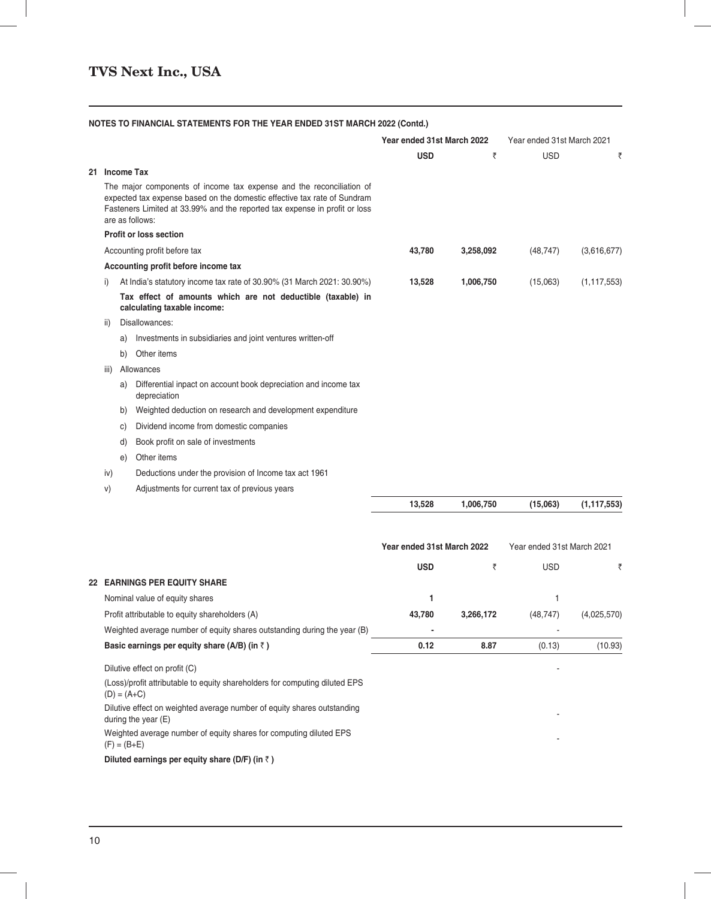| <b>NOTES TO FINANCIAL STATEMENTS FOR THE YEAR ENDED 31ST MARCH 2022 (Contd.)</b> |  |  |  |  |
|----------------------------------------------------------------------------------|--|--|--|--|
|----------------------------------------------------------------------------------|--|--|--|--|

|      |                                                                                                                                                                                                                                                   | Year ended 31st March 2022 |                            | Year ended 31st March 2021 |                            |  |
|------|---------------------------------------------------------------------------------------------------------------------------------------------------------------------------------------------------------------------------------------------------|----------------------------|----------------------------|----------------------------|----------------------------|--|
|      |                                                                                                                                                                                                                                                   | <b>USD</b>                 | ₹                          | <b>USD</b>                 | ₹                          |  |
|      | 21 Income Tax                                                                                                                                                                                                                                     |                            |                            |                            |                            |  |
|      | The major components of income tax expense and the reconciliation of<br>expected tax expense based on the domestic effective tax rate of Sundram<br>Fasteners Limited at 33.99% and the reported tax expense in profit or loss<br>are as follows: |                            |                            |                            |                            |  |
|      | <b>Profit or loss section</b>                                                                                                                                                                                                                     |                            |                            |                            |                            |  |
|      | Accounting profit before tax                                                                                                                                                                                                                      | 43,780                     | 3,258,092                  | (48, 747)                  | (3,616,677)                |  |
|      | Accounting profit before income tax                                                                                                                                                                                                               |                            |                            |                            |                            |  |
| i)   | At India's statutory income tax rate of 30.90% (31 March 2021: 30.90%)                                                                                                                                                                            | 13,528                     | 1,006,750                  | (15,063)                   | (1, 117, 553)              |  |
|      | Tax effect of amounts which are not deductible (taxable) in<br>calculating taxable income:                                                                                                                                                        |                            |                            |                            |                            |  |
| ii)  | Disallowances:                                                                                                                                                                                                                                    |                            |                            |                            |                            |  |
|      | Investments in subsidiaries and joint ventures written-off<br>a)                                                                                                                                                                                  |                            |                            |                            |                            |  |
|      | Other items<br>b)                                                                                                                                                                                                                                 |                            |                            |                            |                            |  |
| iii) | Allowances                                                                                                                                                                                                                                        |                            |                            |                            |                            |  |
|      | Differential inpact on account book depreciation and income tax<br>a)<br>depreciation                                                                                                                                                             |                            |                            |                            |                            |  |
|      | Weighted deduction on research and development expenditure<br>b)                                                                                                                                                                                  |                            |                            |                            |                            |  |
|      | Dividend income from domestic companies<br>C)                                                                                                                                                                                                     |                            |                            |                            |                            |  |
|      | Book profit on sale of investments<br>d)                                                                                                                                                                                                          |                            |                            |                            |                            |  |
|      | Other items<br>e)                                                                                                                                                                                                                                 |                            |                            |                            |                            |  |
| iv)  | Deductions under the provision of Income tax act 1961                                                                                                                                                                                             |                            |                            |                            |                            |  |
| V)   | Adjustments for current tax of previous years                                                                                                                                                                                                     |                            |                            |                            |                            |  |
|      |                                                                                                                                                                                                                                                   | 13,528                     | 1,006,750                  | (15,063)                   | (1, 117, 553)              |  |
|      |                                                                                                                                                                                                                                                   |                            | Year ended 31st March 2022 |                            | Year ended 31st March 2021 |  |
|      |                                                                                                                                                                                                                                                   | <b>USD</b>                 | ₹                          | <b>USD</b>                 | ₹                          |  |
|      | <b>22 EARNINGS PER EQUITY SHARE</b>                                                                                                                                                                                                               |                            |                            |                            |                            |  |
|      | Nominal value of equity shares                                                                                                                                                                                                                    | 1                          |                            | 1                          |                            |  |
|      | Profit attributable to equity shareholders (A)                                                                                                                                                                                                    | 43,780                     | 3,266,172                  | (48, 747)                  | (4,025,570)                |  |
|      | Weighted average number of equity shares outstanding during the year (B)                                                                                                                                                                          |                            |                            |                            |                            |  |
|      | Basic earnings per equity share (A/B) (in $\bar{z}$ )                                                                                                                                                                                             | 0.12                       | 8.87                       | (0.13)                     | (10.93)                    |  |
|      | Dilutive effect on profit (C)                                                                                                                                                                                                                     |                            |                            |                            |                            |  |
|      | (Loss)/profit attributable to equity shareholders for computing diluted EPS<br>$(D) = (A+C)$                                                                                                                                                      |                            |                            |                            |                            |  |
|      | Dilutive effect on weighted average number of equity shares outstanding<br>during the year (E)                                                                                                                                                    |                            |                            |                            |                            |  |
|      | Weighted average number of equity shares for computing diluted EPS<br>$(F) = (B+E)$                                                                                                                                                               |                            |                            |                            |                            |  |

**Diluted earnings per equity share (D/F) (in** ` **)**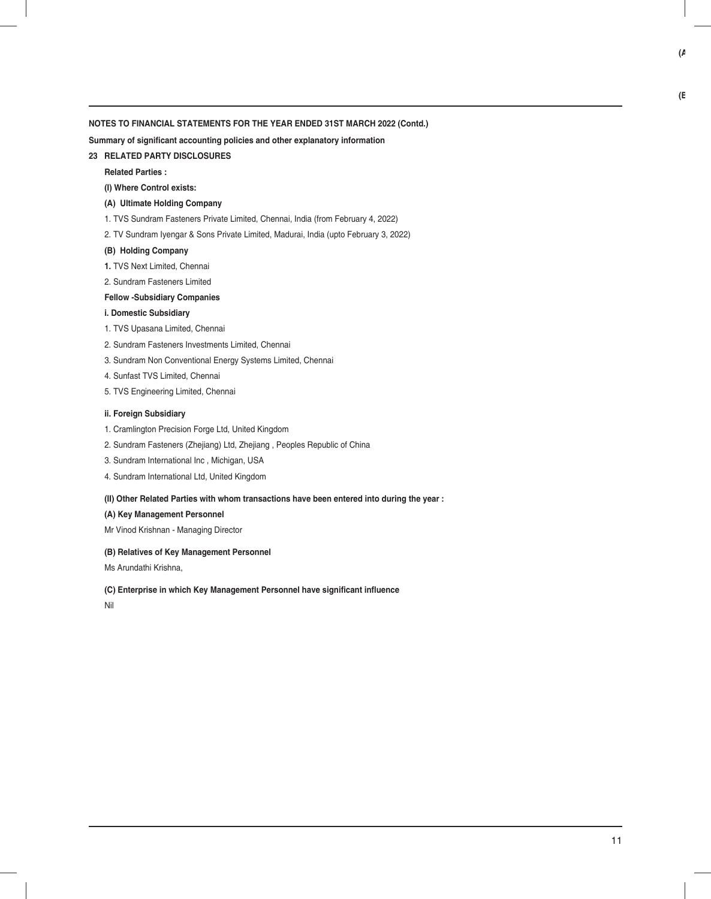**Summary of significant accounting policies and other explanatory information** 

#### **23 RELATED PARTY DISCLOSURES**

**Related Parties :**

#### **(I) Where Control exists:**

#### **(A) Ultimate Holding Company**

1. TVS Sundram Fasteners Private Limited, Chennai, India (from February 4, 2022)

2. TV Sundram Iyengar & Sons Private Limited, Madurai, India (upto February 3, 2022)

#### **(B) Holding Company**

- **1.** TVS Next Limited, Chennai
- 2. Sundram Fasteners Limited
- **Fellow -Subsidiary Companies**

#### **i. Domestic Subsidiary**

- 1. TVS Upasana Limited, Chennai
- 2. Sundram Fasteners Investments Limited, Chennai
- 3. Sundram Non Conventional Energy Systems Limited, Chennai
- 4. Sunfast TVS Limited, Chennai
- 5. TVS Engineering Limited, Chennai

#### **ii. Foreign Subsidiary**

- 1. Cramlington Precision Forge Ltd, United Kingdom
- 2. Sundram Fasteners (Zhejiang) Ltd, Zhejiang , Peoples Republic of China
- 3. Sundram International Inc , Michigan, USA
- 4. Sundram International Ltd, United Kingdom

#### **(II) Other Related Parties with whom transactions have been entered into during the year :**

#### **(A) Key Management Personnel**

Mr Vinod Krishnan - Managing Director

#### **(B) Relatives of Key Management Personnel**

Ms Arundathi Krishna,

#### (C) Enterprise in which Key Management Personnel have significant influence

Nil

**(B**